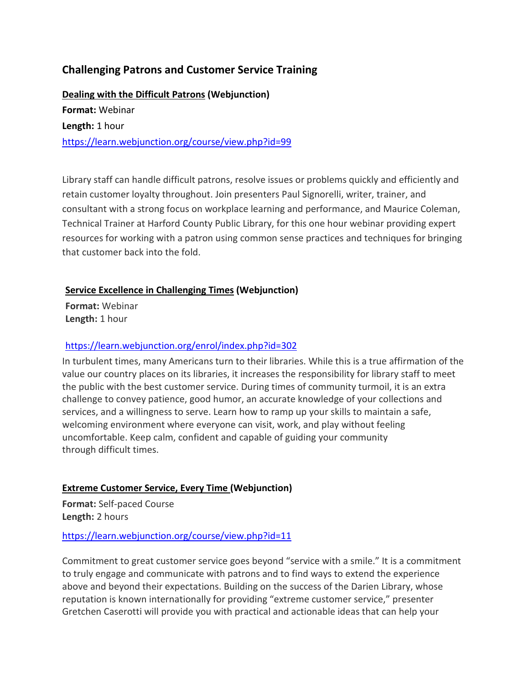# **Challenging Patrons and Customer Service Training**

**[Dealing with the](https://learn.webjunction.org/course/view.php?id=99) Difficult Patrons (Webjunction) Format:** Webinar **Length:** 1 hour <https://learn.webjunction.org/course/view.php?id=99>

Library staff can handle difficult patrons, resolve issues or problems quickly and efficiently and retain customer loyalty throughout. Join presenters Paul Signorelli, writer, trainer, and consultant with a strong focus on workplace learning and performance, and Maurice Coleman, Technical Trainer at Harford County Public Library, for this one hour webinar providing expert resources for working with a patron using common sense practices and techniques for bringing that customer back into the fold.

#### **[Service Excellence in Challenging Times](https://learn.webjunction.org/course/view.php?id=302) (Webjunction)**

**Format:** Webinar **Length:** 1 hour

### <https://learn.webjunction.org/enrol/index.php?id=302>

In turbulent times, many Americans turn to their libraries. While this is a true affirmation of the value our country places on its libraries, it increases the responsibility for library staff to meet the public with the best customer service. During times of community turmoil, it is an extra challenge to convey patience, good humor, an accurate knowledge of your collections and services, and a willingness to serve. Learn how to ramp up your skills to maintain a safe, welcoming environment where everyone can visit, work, and play without feeling uncomfortable. Keep calm, confident and capable of guiding your community through difficult times.

## **Extreme Customer [Service, Every Time](https://learn.webjunction.org/course/view.php?id=11) (Webjunction)**

**Format:** Self-paced Course **Length:** 2 hours

#### <https://learn.webjunction.org/course/view.php?id=11>

Commitment to great customer service goes beyond "service with a smile." It is a commitment to truly engage and communicate with patrons and to find ways to extend the experience above and beyond their expectations. Building on the success of the Darien Library, whose reputation is known internationally for providing "extreme customer service," presenter Gretchen Caserotti will provide you with practical and actionable ideas that can help your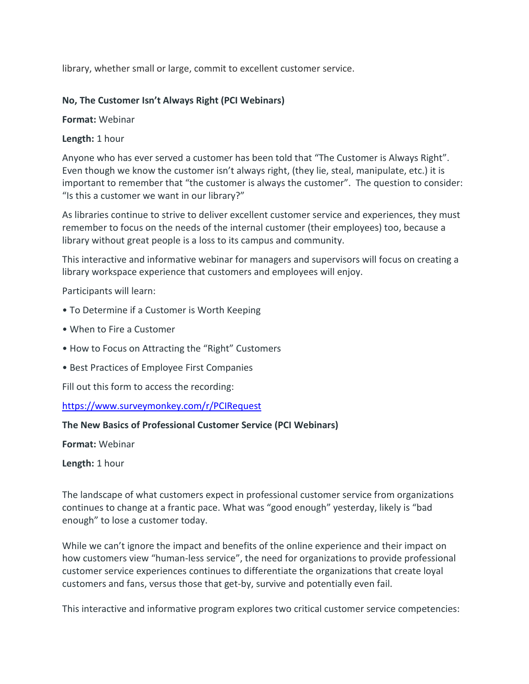library, whether small or large, commit to excellent customer service.

#### **No, The Customer Isn't Always Right (PCI Webinars)**

**Format:** Webinar

**Length:** 1 hour

Anyone who has ever served a customer has been told that "The Customer is Always Right". Even though we know the customer isn't always right, (they lie, steal, manipulate, etc.) it is important to remember that "the customer is always the customer". The question to consider: "Is this a customer we want in our library?"

As libraries continue to strive to deliver excellent customer service and experiences, they must remember to focus on the needs of the internal customer (their employees) too, because a library without great people is a loss to its campus and community.

This interactive and informative webinar for managers and supervisors will focus on creating a library workspace experience that customers and employees will enjoy.

Participants will learn:

- To Determine if a Customer is Worth Keeping
- When to Fire a Customer
- How to Focus on Attracting the "Right" Customers
- Best Practices of Employee First Companies

Fill out this form to access the recording:

<https://www.surveymonkey.com/r/PCIRequest>

#### **The New Basics of Professional Customer Service (PCI Webinars)**

**Format:** Webinar

**Length:** 1 hour

The landscape of what customers expect in professional customer service from organizations continues to change at a frantic pace. What was "good enough" yesterday, likely is "bad enough" to lose a customer today.

While we can't ignore the impact and benefits of the online experience and their impact on how customers view "human-less service", the need for organizations to provide professional customer service experiences continues to differentiate the organizations that create loyal customers and fans, versus those that get-by, survive and potentially even fail.

This interactive and informative program explores two critical customer service competencies: